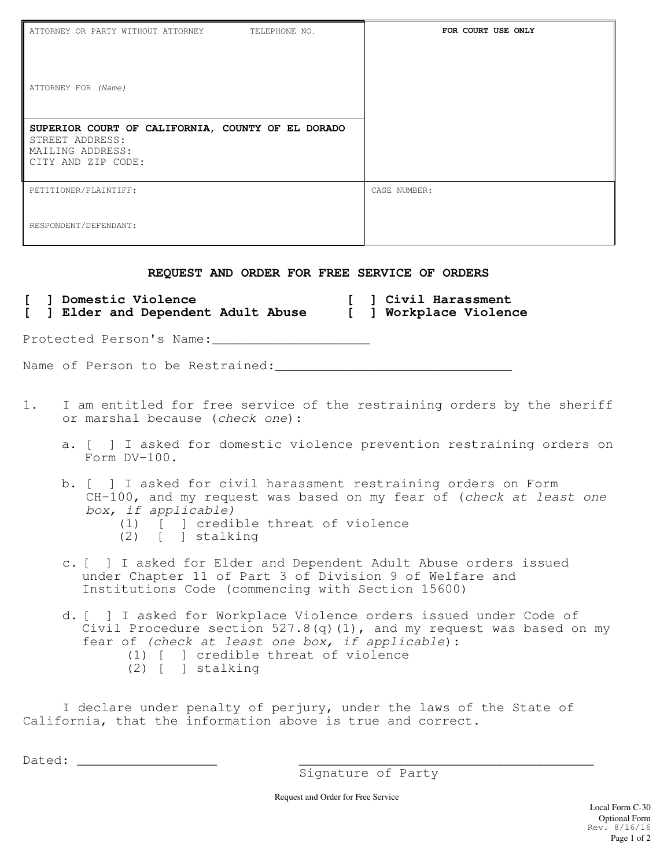| ATTORNEY OR PARTY WITHOUT ATTORNEY<br>TELEPHONE NO.                                                                                                                                                                                                       | FOR COURT USE ONLY |
|-----------------------------------------------------------------------------------------------------------------------------------------------------------------------------------------------------------------------------------------------------------|--------------------|
| ATTORNEY FOR (Name)                                                                                                                                                                                                                                       |                    |
| SUPERIOR COURT OF CALIFORNIA, COUNTY OF EL DORADO<br>STREET ADDRESS:<br>MAILING ADDRESS:<br>CITY AND ZIP CODE:                                                                                                                                            |                    |
| PETITIONER/PLAINTIFF:                                                                                                                                                                                                                                     | CASE NUMBER:       |
| RESPONDENT/DEFENDANT:                                                                                                                                                                                                                                     |                    |
| REQUEST AND ORDER FOR FREE SERVICE OF ORDERS                                                                                                                                                                                                              |                    |
| ] Domestic Violence<br>] Elder and Dependent Adult Abuse [ ] Workplace Violence<br>$\mathbf{L}$                                                                                                                                                           | ] Civil Harassment |
| Protected Person's Name:                                                                                                                                                                                                                                  |                    |
|                                                                                                                                                                                                                                                           |                    |
| I am entitled for free service of the restraining orders by the sheriff<br>1.<br>or marshal because (check one):                                                                                                                                          |                    |
| a. [ ] I asked for domestic violence prevention restraining orders on<br>Form DV-100.                                                                                                                                                                     |                    |
| b. [ ] I asked for civil harassment restraining orders on Form<br>CH-100, and my request was based on my fear of (check at least one<br>box, if applicable)<br>(1) [ ] credible threat of violence<br>$(2)$ [ ] stalking                                  |                    |
| c. [ ] I asked for Elder and Dependent Adult Abuse orders issued<br>under Chapter 11 of Part 3 of Division 9 of Welfare and<br>Institutions Code (commencing with Section 15600)                                                                          |                    |
| d. [ ] I asked for Workplace Violence orders issued under Code of<br>Civil Procedure section 527.8(q)(1), and my request was based on my<br>fear of (check at least one box, if applicable):<br>(1) [ ] credible threat of violence<br>$(2)$ [ ] stalking |                    |
| I declare under penalty of perjury, under the laws of the State of<br>California, that the information above is true and correct.                                                                                                                         |                    |
| Dated:                                                                                                                                                                                                                                                    |                    |

Signature of Party

Request and Order for Free Service